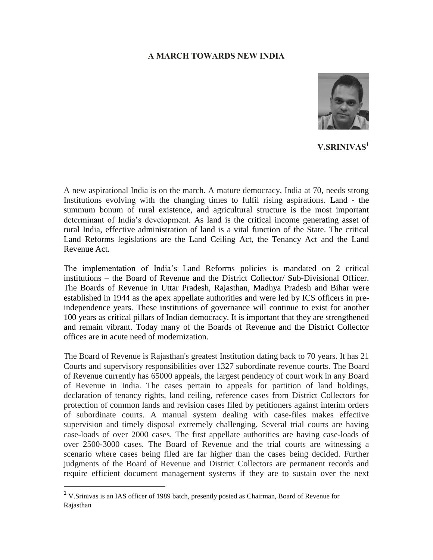## **A MARCH TOWARDS NEW INDIA**



**V.SRINIVAS<sup>1</sup>**

A new aspirational India is on the march. A mature democracy, India at 70, needs strong Institutions evolving with the changing times to fulfil rising aspirations. Land - the summum bonum of rural existence, and agricultural structure is the most important determinant of India's development. As land is the critical income generating asset of rural India, effective administration of land is a vital function of the State. The critical Land Reforms legislations are the Land Ceiling Act, the Tenancy Act and the Land Revenue Act.

The implementation of India's Land Reforms policies is mandated on 2 critical institutions – the Board of Revenue and the District Collector/ Sub-Divisional Officer. The Boards of Revenue in Uttar Pradesh, Rajasthan, Madhya Pradesh and Bihar were established in 1944 as the apex appellate authorities and were led by ICS officers in preindependence years. These institutions of governance will continue to exist for another 100 years as critical pillars of Indian democracy. It is important that they are strengthened and remain vibrant. Today many of the Boards of Revenue and the District Collector offices are in acute need of modernization.

The Board of Revenue is Rajasthan's greatest Institution dating back to 70 years. It has 21 Courts and supervisory responsibilities over 1327 subordinate revenue courts. The Board of Revenue currently has 65000 appeals, the largest pendency of court work in any Board of Revenue in India. The cases pertain to appeals for partition of land holdings, declaration of tenancy rights, land ceiling, reference cases from District Collectors for protection of common lands and revision cases filed by petitioners against interim orders of subordinate courts. A manual system dealing with case-files makes effective supervision and timely disposal extremely challenging. Several trial courts are having case-loads of over 2000 cases. The first appellate authorities are having case-loads of over 2500-3000 cases. The Board of Revenue and the trial courts are witnessing a scenario where cases being filed are far higher than the cases being decided. Further judgments of the Board of Revenue and District Collectors are permanent records and require efficient document management systems if they are to sustain over the next

 $\overline{a}$ 

<sup>&</sup>lt;sup>1</sup> V.Srinivas is an IAS officer of 1989 batch, presently posted as Chairman, Board of Revenue for Rajasthan